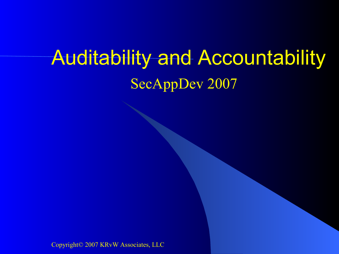### Auditability and Accountability SecAppDev 2007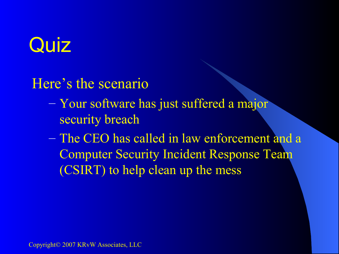# Quiz

Here's the scenario

- Your software has just suffered a major security breach
- The CEO has called in law enforcement and a Computer Security Incident Response Team (CSIRT) to help clean up the mess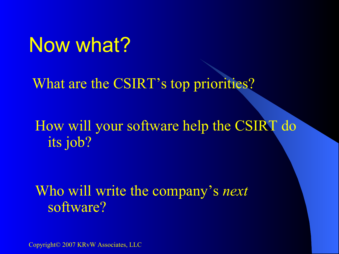#### Now what?

What are the CSIRT's top priorities?

How will your software help the CSIRT do its job?

Who will write the company's *next* software?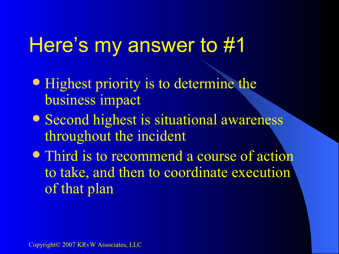#### Here's my answer to #1

- Highest priority is to determine the business impact
- Second highest is situational awareness throughout the incident
- Third is to recommend a course of action to take, and then to coordinate execution of that plan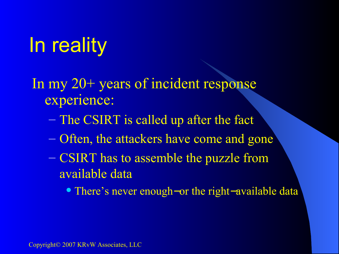# In reality

In my 20+ years of incident response experience:

- The CSIRT is called up after the fact
- Often, the attackers have come and gone
- CSIRT has to assemble the puzzle from available data

There's never enough−or the right−available data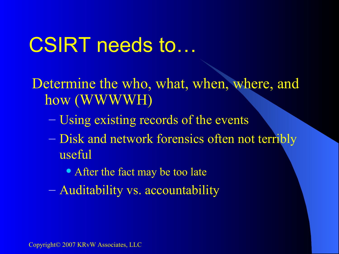### CSIRT needs to…

Determine the who, what, when, where, and how (WWWWH)

- Using existing records of the events
- Disk and network forensics often not terribly useful
	- After the fact may be too late
- Auditability vs. accountability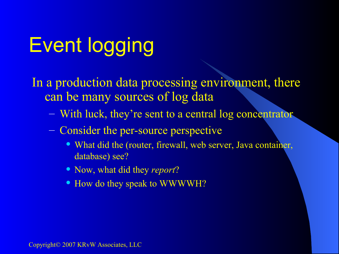# Event logging

#### In a production data processing environment, there can be many sources of log data

- With luck, they're sent to a central log concentrator
- Consider the per-source perspective
	- What did the (router, firewall, web server, Java container, database) see?
	- Now, what did they *report*?
	- How do they speak to WWWWH?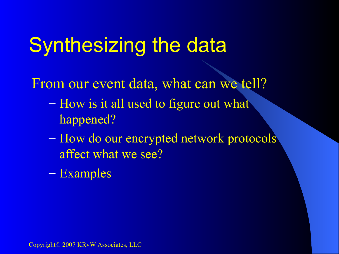## Synthesizing the data

From our event data, what can we tell?

- How is it all used to figure out what happened?
- How do our encrypted network protocols affect what we see?
- Examples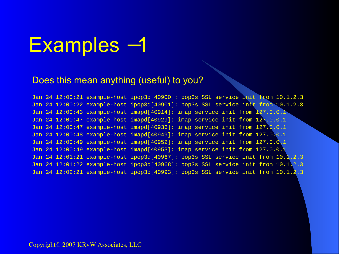#### Examples −1

#### Does this mean anything (useful) to you?

Jan 24 12:00:21 example-host ipop3d[40900]: pop3s SSL service init from 10.1.2.3 Jan 24 12:00:22 example-host ipop3d[40901]: pop3s SSL service init from 10.1.2.3 Jan 24 12:00:43 example-host imapd[40914]: imap service init from 127.0.0.1 Jan 24 12:00:47 example-host imapd[40929]: imap service init from 127.0.0.1 Jan 24 12:00:47 example-host imapd[40936]: imap service init from 127.0.0.1 Jan 24 12:00:48 example-host imapd[40949]: imap service init from 127.0.0.1 Jan 24 12:00:49 example-host imapd[40952]: imap service init from 127.0.0.1 Jan 24 12:00:49 example-host imapd[40953]: imap service init from 127.0.0.1 Jan 24 12:01:21 example-host ipop3d[40967]: pop3s SSL service init from 10.1.2.3 Jan 24 12:01:22 example-host ipop3d[40968]: pop3s SSL service init from 10.1.2.3 Jan 24 12:02:21 example-host ipop3d[40993]: pop3s SSL service init from 10.1.2.3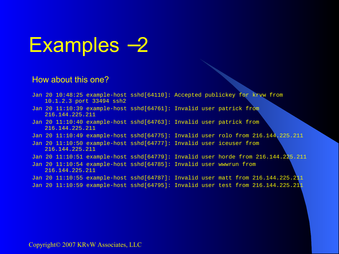

#### How about this one?

- Jan 20 10:48:25 example-host sshd[64110]: Accepted publickey for krvw from 10.1.2.3 port 33494 ssh2
- Jan 20 11:10:39 example-host sshd[64761]: Invalid user patrick from 216.144.225.211
- Jan 20 11:10:40 example-host sshd[64763]: Invalid user patrick from 216.144.225.211
- Jan 20 11:10:49 example-host sshd[64775]: Invalid user rolo from 216.144.225.211
- Jan 20 11:10:50 example-host sshd[64777]: Invalid user iceuser from 216.144.225.211
- Jan 20 11:10:51 example-host sshd[64779]: Invalid user horde from 216.144.225.211
- Jan 20 11:10:54 example-host sshd[64785]: Invalid user wwwrun from 216.144.225.211
- Jan 20  $11:10:55$  example-host sshd[64787]: Invalid user matt from  $216.144.225.211$
- Jan 20 11:10:59 example-host sshd[64795]: Invalid user test from 216.144.225.211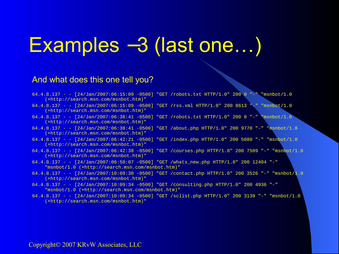### Examples −3 (last one…)

#### And what does this one tell you?

- 64.4.8.137 - [24/Jan/2007:06:15:09 -0500] "GET /robots.txt HTTP/1.0" 200 0 "-" "msnbot/1.0 (+http://search.msn.com/msnbot.htm)" 64.4.8.137 - - [24/Jan/2007:06:15:09 -0500] "GET /rss.xml HTTP/1.0" 200 8613 "-" "msnbot/1.0 (+http://search.msn.com/msnbot.htm)" 64.4.8.137 - -  $[24/\text{Jan}/2007:06:38:41 - 0500]$  "GET /robots.txt HTTP/1.0" 200 0 "-" "msnbot/1.0 (+http://search.msn.com/msnbot.htm)" 64.4.8.137 - - [24/Jan/2007:06:38:41 -0500] "GET /about.php HTTP/1.0" 200 9770 "-" "msnbot/1.0 (+http://search.msn.com/msnbot.htm)" 64.4.8.137 - - [24/Jan/2007:06:42:21 -0500] "GET /index.php HTTP/1.0" 200 5080 "-" "msnbot/1.0 (+http://search.msn.com/msnbot.htm)" 64.4.8.137 - - [24/Jan/2007:06:42:38 -0500] "GET /courses.php HTTP/1.0" 200 7509 "-" "msnbot/1.0 (+http://search.msn.com/msnbot.htm)" 64.4.8.137 - - [24/Jan/2007:06:50:07 -0500] "GET /whats\_new.php HTTP/1.0" 200 12404 "-" "msnbot/1.0 (+http://search.msn.com/msnbot.htm)" 64.4.8.137 - - [24/Jan/2007:10:09:30 -0500] "GET /contact.php HTTP/1.0" 200 3526 "-" "msnbot/1.0 (+http://search.msn.com/msnbot.htm)" 64.4.8.137 - - [24/Jan/2007:10:09:34 -0500] "GET /consulting.php HTTP/1.0" 200 4936 "-" "msnbot/1.0 (+http://search.msn.com/msnbot.htm)"
- 64.4.8.137 - [24/Jan/2007:10:09:34 -0500] "GET /sclist.php HTTP/1.0" 200 3139 "-" "msnbot/1.0 (+http://search.msn.com/msnbot.htm)"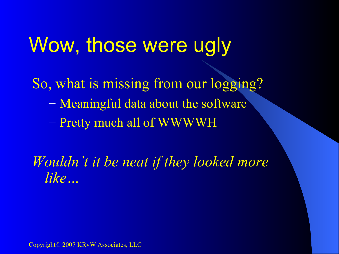#### Wow, those were ugly

So, what is missing from our logging? – Meaningful data about the software – Pretty much all of WWWWH

*Wouldn't it be neat if they looked more like…*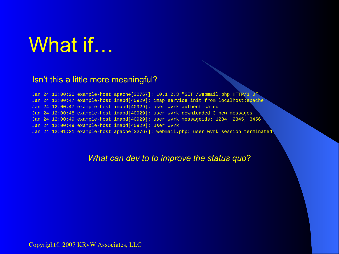### What if…

#### Isn't this a little more meaningful?

Jan 24 12:00:20 example-host apache[32767]: 10.1.2.3 "GET /webmail.php HTTP/1.0" Jan 24 12:00:47 example-host imapd[40929]: imap service init from localhost:apache Jan 24 12:00:47 example-host imapd[40929]: user wvrk authenticated Jan 24 12:00:48 example-host imapd[40929]: user wvrk downloaded 3 new messages Jan 24 12:00:49 example-host imapd[40929]: user wvrk messageids: 1234, 2345, 3456 Jan 24 12:00:49 example-host imapd[40929]: user wvrk Jan 24 12:01:21 example-host apache[32767]: webmail.php: user wvrk session terminated

#### *What can dev to to improve the status quo*?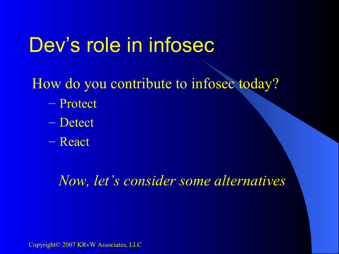### Dev's role in infosec

How do you contribute to infosec today?

- Protect
- Detect
- React

*Now, let's consider some alternatives*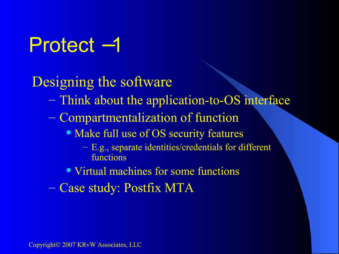## Protect −1

Designing the software

- Think about the application-to-OS interface
- Compartmentalization of function
	- Make full use of OS security features
		- E.g., separate identities/credentials for different functions
	- Virtual machines for some functions
- Case study: Postfix MTA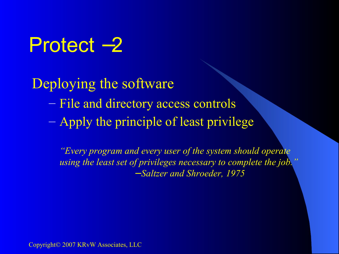#### Protect −2

Deploying the software

- File and directory access controls
- Apply the principle of least privilege

*"Every program and every user of the system should operate using the least set of privileges necessary to complete the job."* − *Saltzer and Shroeder, 1975*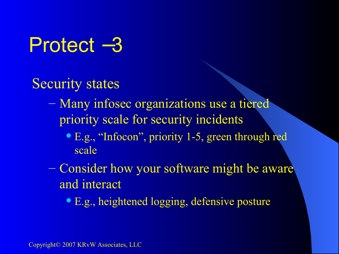#### Protect −3

Security states

- Many infosec organizations use a tiered priority scale for security incidents
	- E.g., "Infocon", priority 1-5, green through red scale
- Consider how your software might be aware and interact
	- **E.g., heightened logging, defensive posture**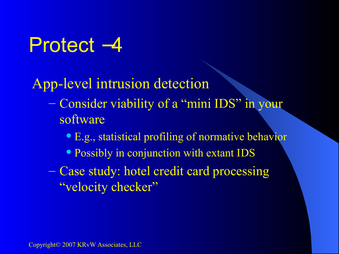#### Protect –4

#### App-level intrusion detection

- Consider viability of a "mini IDS" in your software
	- E.g., statistical profiling of normative behavior
	- Possibly in conjunction with extant IDS
- Case study: hotel credit card processing "velocity checker"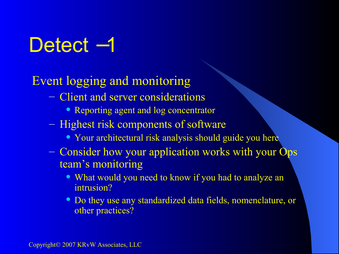## Detect <sup>-1</sup>

#### Event logging and monitoring

- Client and server considerations
	- Reporting agent and log concentrator
- Highest risk components of software
	- Your architectural risk analysis should guide you here
- Consider how your application works with your Ops team's monitoring
	- What would you need to know if you had to analyze an intrusion?
	- Do they use any standardized data fields, nomenclature, or other practices?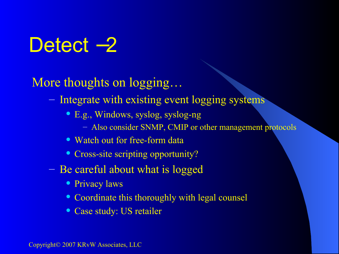#### Detect <sup>-2</sup>

More thoughts on logging…

- Integrate with existing event logging systems
	- E.g., Windows, syslog, syslog-ng
		- Also consider SNMP, CMIP or other management protocols
	- Watch out for free-form data
	- Cross-site scripting opportunity?
- Be careful about what is logged
	- Privacy laws
	- Coordinate this thoroughly with legal counsel
	- Case study: US retailer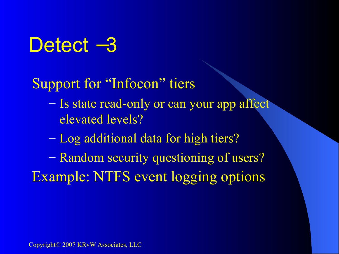#### Detect –3

#### Support for "Infocon" tiers

- Is state read-only or can your app affect elevated levels?
- Log additional data for high tiers?
- Random security questioning of users? Example: NTFS event logging options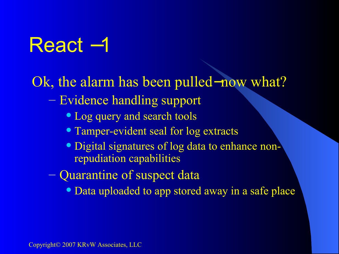## React −1

Ok, the alarm has been pulled−now what?

- Evidence handling support
	- Log query and search tools
	- Tamper-evident seal for log extracts
	- Digital signatures of log data to enhance nonrepudiation capabilities
- Quarantine of suspect data
	- Data uploaded to app stored away in a safe place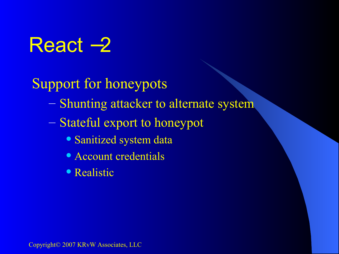## React −2

Support for honeypots

- Shunting attacker to alternate system
- Stateful export to honeypot
	- Sanitized system data
	- Account credentials
	- Realistic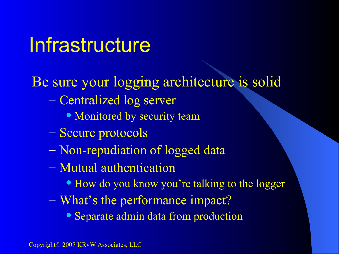#### Infrastructure

Be sure your logging architecture is solid

- Centralized log server
	- Monitored by security team
- Secure protocols
- Non-repudiation of logged data
- Mutual authentication
	- How do you know you're talking to the logger
- What's the performance impact?
	- Separate admin data from production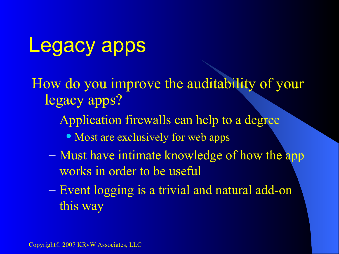#### Legacy apps

How do you improve the auditability of your legacy apps?

- Application firewalls can help to a degree
	- Most are exclusively for web apps
- Must have intimate knowledge of how the app works in order to be useful
- Event logging is a trivial and natural add-on this way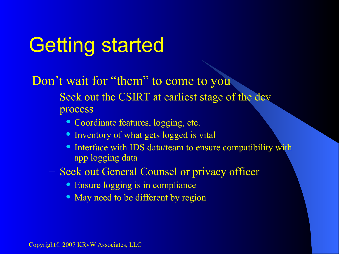## Getting started

#### Don't wait for "them" to come to you

- Seek out the CSIRT at earliest stage of the dev process
	- Coordinate features, logging, etc.
	- Inventory of what gets logged is vital
	- Interface with IDS data/team to ensure compatibility with app logging data
- Seek out General Counsel or privacy officer
	- Ensure logging is in compliance
	- May need to be different by region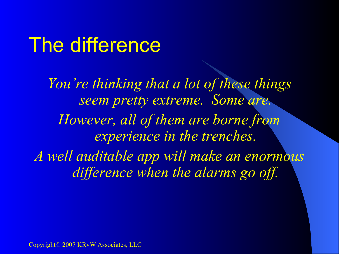#### The difference

*You're thinking that a lot of these things seem pretty extreme. Some are. However, all of them are borne from experience in the trenches. A well auditable app will make an enormous difference when the alarms go off.*